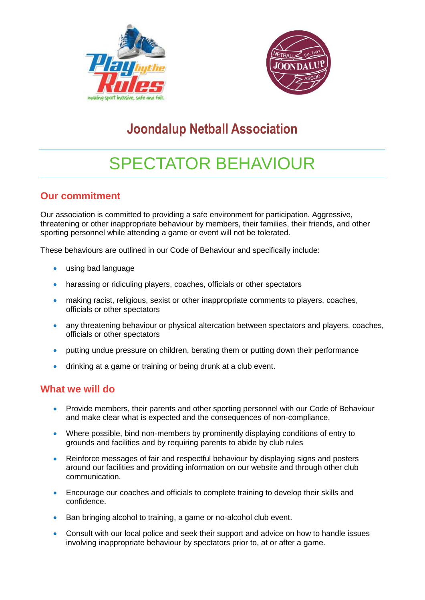



## **Joondalup Netball Association**

# SPECTATOR BEHAVIOUR

#### **Our commitment**

Our association is committed to providing a safe environment for participation. Aggressive, threatening or other inappropriate behaviour by members, their families, their friends, and other sporting personnel while attending a game or event will not be tolerated.

These behaviours are outlined in our Code of Behaviour and specifically include:

- using bad language
- harassing or ridiculing players, coaches, officials or other spectators
- making racist, religious, sexist or other inappropriate comments to players, coaches, officials or other spectators
- any threatening behaviour or physical altercation between spectators and players, coaches, officials or other spectators
- putting undue pressure on children, berating them or putting down their performance
- drinking at a game or training or being drunk at a club event.

#### **What we will do**

- Provide members, their parents and other sporting personnel with our Code of Behaviour and make clear what is expected and the consequences of non-compliance.
- Where possible, bind non-members by prominently displaying conditions of entry to grounds and facilities and by requiring parents to abide by club rules
- Reinforce messages of fair and respectful behaviour by displaying signs and posters around our facilities and providing information on our website and through other club communication.
- Encourage our coaches and officials to complete training to develop their skills and confidence.
- Ban bringing alcohol to training, a game or no-alcohol club event.
- Consult with our local police and seek their support and advice on how to handle issues involving inappropriate behaviour by spectators prior to, at or after a game.